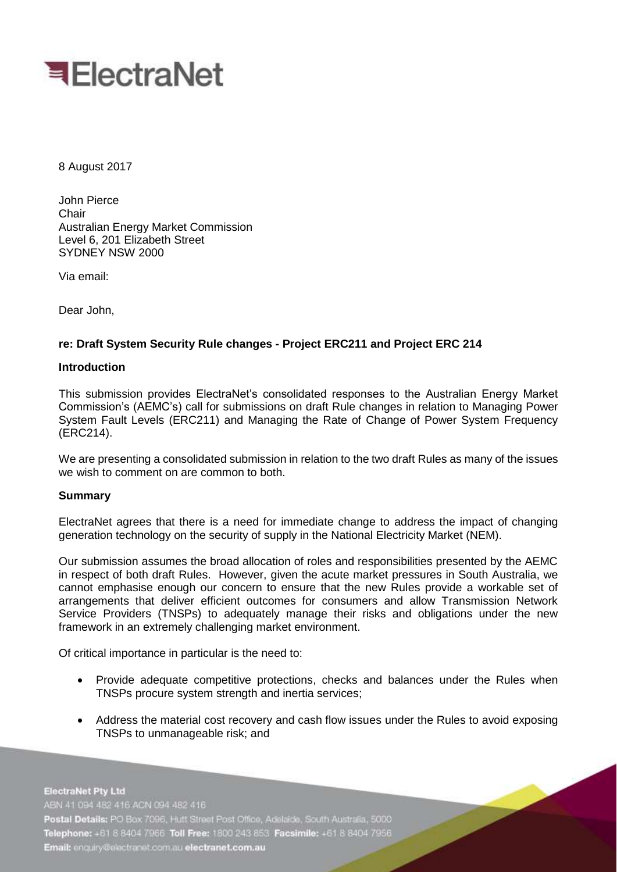

8 August 2017

John Pierce Chair Australian Energy Market Commission Level 6, 201 Elizabeth Street SYDNEY NSW 2000

Via email:

Dear John,

# **re: Draft System Security Rule changes - Project ERC211 and Project ERC 214**

## **Introduction**

This submission provides ElectraNet's consolidated responses to the Australian Energy Market Commission's (AEMC's) call for submissions on draft Rule changes in relation to Managing Power System Fault Levels (ERC211) and Managing the Rate of Change of Power System Frequency (ERC214).

We are presenting a consolidated submission in relation to the two draft Rules as many of the issues we wish to comment on are common to both.

#### **Summary**

ElectraNet agrees that there is a need for immediate change to address the impact of changing generation technology on the security of supply in the National Electricity Market (NEM).

Our submission assumes the broad allocation of roles and responsibilities presented by the AEMC in respect of both draft Rules. However, given the acute market pressures in South Australia, we cannot emphasise enough our concern to ensure that the new Rules provide a workable set of arrangements that deliver efficient outcomes for consumers and allow Transmission Network Service Providers (TNSPs) to adequately manage their risks and obligations under the new framework in an extremely challenging market environment.

Of critical importance in particular is the need to:

- Provide adequate competitive protections, checks and balances under the Rules when TNSPs procure system strength and inertia services;
- Address the material cost recovery and cash flow issues under the Rules to avoid exposing TNSPs to unmanageable risk; and

**ElectraNet Pty Ltd** ABN 41 094 482 416 ACN 094 482 416 Postal Details: PO Box 7096, Hutt Street Post Office, Adelaide, South Australia, 5000 Telephone: +61 8 8404 7966 Toll Free: 1800 243 853 Facsimile: +61 8 8404 7956 Email: enquiry@electranet.com.au electranet.com.au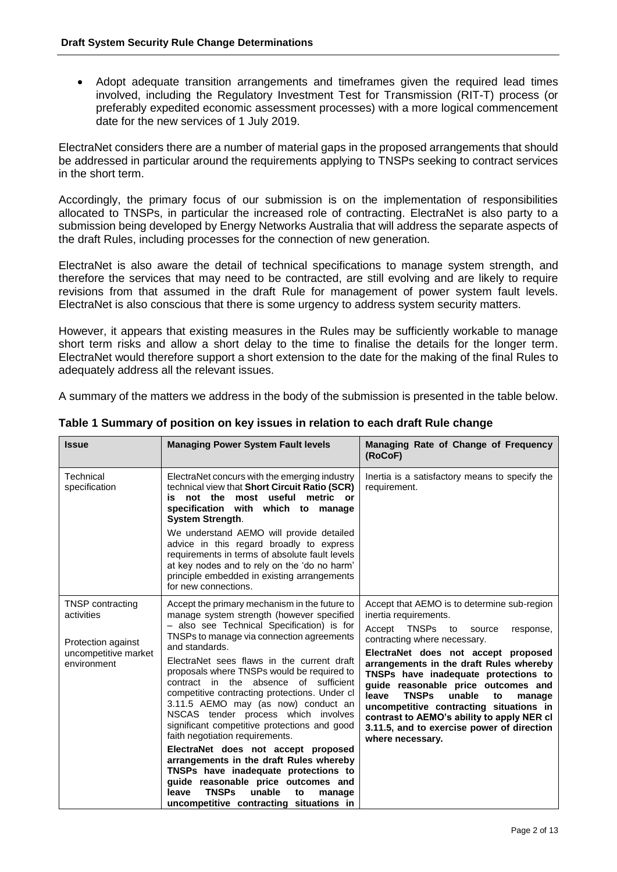Adopt adequate transition arrangements and timeframes given the required lead times involved, including the Regulatory Investment Test for Transmission (RIT-T) process (or preferably expedited economic assessment processes) with a more logical commencement date for the new services of 1 July 2019.

ElectraNet considers there are a number of material gaps in the proposed arrangements that should be addressed in particular around the requirements applying to TNSPs seeking to contract services in the short term.

Accordingly, the primary focus of our submission is on the implementation of responsibilities allocated to TNSPs, in particular the increased role of contracting. ElectraNet is also party to a submission being developed by Energy Networks Australia that will address the separate aspects of the draft Rules, including processes for the connection of new generation.

ElectraNet is also aware the detail of technical specifications to manage system strength, and therefore the services that may need to be contracted, are still evolving and are likely to require revisions from that assumed in the draft Rule for management of power system fault levels. ElectraNet is also conscious that there is some urgency to address system security matters.

However, it appears that existing measures in the Rules may be sufficiently workable to manage short term risks and allow a short delay to the time to finalise the details for the longer term. ElectraNet would therefore support a short extension to the date for the making of the final Rules to adequately address all the relevant issues.

A summary of the matters we address in the body of the submission is presented in the table below.

| <b>Issue</b>                                                                                       | <b>Managing Power System Fault levels</b>                                                                                                                                                                                                                                                           | Managing Rate of Change of Frequency<br>(RoCoF)                                                                                                                                                                                                                                       |
|----------------------------------------------------------------------------------------------------|-----------------------------------------------------------------------------------------------------------------------------------------------------------------------------------------------------------------------------------------------------------------------------------------------------|---------------------------------------------------------------------------------------------------------------------------------------------------------------------------------------------------------------------------------------------------------------------------------------|
| Technical<br>specification                                                                         | ElectraNet concurs with the emerging industry<br>technical view that Short Circuit Ratio (SCR)<br>is not the most useful metric or<br>specification with which to manage<br><b>System Strength.</b>                                                                                                 | Inertia is a satisfactory means to specify the<br>requirement.                                                                                                                                                                                                                        |
|                                                                                                    | We understand AEMO will provide detailed<br>advice in this regard broadly to express<br>requirements in terms of absolute fault levels<br>at key nodes and to rely on the 'do no harm'<br>principle embedded in existing arrangements<br>for new connections.                                       |                                                                                                                                                                                                                                                                                       |
| <b>TNSP</b> contracting<br>activities<br>Protection against<br>uncompetitive market<br>environment | Accept the primary mechanism in the future to<br>manage system strength (however specified<br>- also see Technical Specification) is for<br>TNSPs to manage via connection agreements<br>and standards.<br>ElectraNet sees flaws in the current draft<br>proposals where TNSPs would be required to | Accept that AEMO is to determine sub-region<br>inertia requirements.<br>Accept<br><b>TNSPs</b><br>to<br>source<br>response,<br>contracting where necessary.<br>ElectraNet does not accept proposed<br>arrangements in the draft Rules whereby<br>TNSPs have inadequate protections to |
|                                                                                                    | contract in the absence of sufficient<br>competitive contracting protections. Under cl<br>3.11.5 AEMO may (as now) conduct an<br>NSCAS tender process which involves<br>significant competitive protections and good<br>faith negotiation requirements.                                             | guide reasonable price outcomes and<br><b>TNSPs</b><br>leave<br>unable<br>to<br>manage<br>uncompetitive contracting situations in<br>contrast to AEMO's ability to apply NER cl<br>3.11.5, and to exercise power of direction<br>where necessary.                                     |
|                                                                                                    | ElectraNet does not accept proposed<br>arrangements in the draft Rules whereby<br>TNSPs have inadequate protections to<br>guide reasonable price outcomes and<br><b>TNSPs</b><br>unable<br>leave<br>to<br>manage<br>uncompetitive contracting situations in                                         |                                                                                                                                                                                                                                                                                       |

#### **Table 1 Summary of position on key issues in relation to each draft Rule change**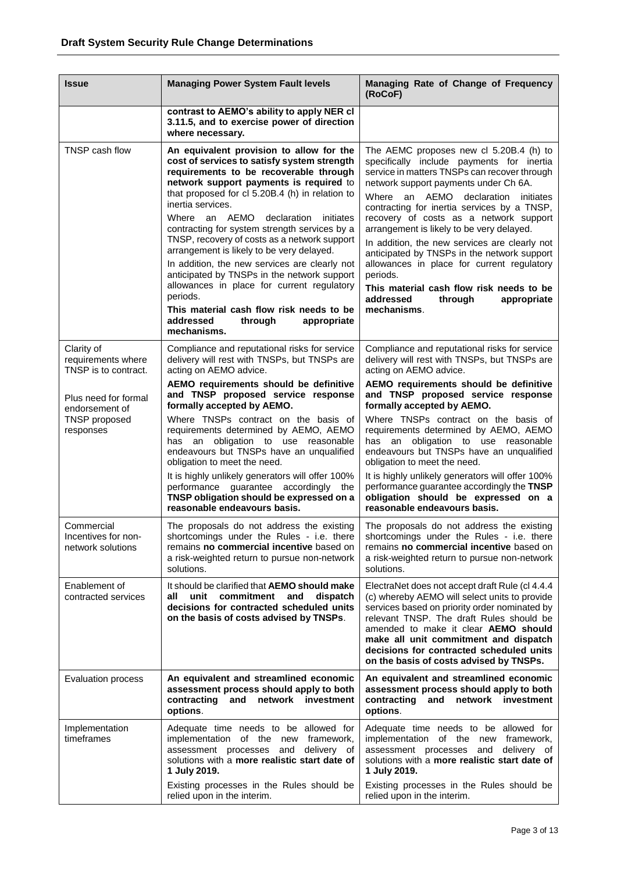| <b>Issue</b>                                                         | <b>Managing Power System Fault levels</b>                                                                                                                                                                                                                                                                                                                                                                                                                                                                                                                                                                                                                                                                   | Managing Rate of Change of Frequency<br>(RoCoF)                                                                                                                                                                                                                                                                                                                                                                                                                                                                                                                                                                                    |
|----------------------------------------------------------------------|-------------------------------------------------------------------------------------------------------------------------------------------------------------------------------------------------------------------------------------------------------------------------------------------------------------------------------------------------------------------------------------------------------------------------------------------------------------------------------------------------------------------------------------------------------------------------------------------------------------------------------------------------------------------------------------------------------------|------------------------------------------------------------------------------------------------------------------------------------------------------------------------------------------------------------------------------------------------------------------------------------------------------------------------------------------------------------------------------------------------------------------------------------------------------------------------------------------------------------------------------------------------------------------------------------------------------------------------------------|
|                                                                      | contrast to AEMO's ability to apply NER cl<br>3.11.5, and to exercise power of direction<br>where necessary.                                                                                                                                                                                                                                                                                                                                                                                                                                                                                                                                                                                                |                                                                                                                                                                                                                                                                                                                                                                                                                                                                                                                                                                                                                                    |
| TNSP cash flow                                                       | An equivalent provision to allow for the<br>cost of services to satisfy system strength<br>requirements to be recoverable through<br>network support payments is required to<br>that proposed for cl 5.20B.4 (h) in relation to<br>inertia services.<br>Where an AEMO<br>declaration<br>initiates<br>contracting for system strength services by a<br>TNSP, recovery of costs as a network support<br>arrangement is likely to be very delayed.<br>In addition, the new services are clearly not<br>anticipated by TNSPs in the network support<br>allowances in place for current regulatory<br>periods.<br>This material cash flow risk needs to be<br>addressed<br>through<br>appropriate<br>mechanisms. | The AEMC proposes new cl 5.20B.4 (h) to<br>specifically include payments for inertia<br>service in matters TNSPs can recover through<br>network support payments under Ch 6A.<br>Where<br>an<br>AEMO<br>declaration<br>initiates<br>contracting for inertia services by a TNSP,<br>recovery of costs as a network support<br>arrangement is likely to be very delayed.<br>In addition, the new services are clearly not<br>anticipated by TNSPs in the network support<br>allowances in place for current regulatory<br>periods.<br>This material cash flow risk needs to be<br>addressed<br>through<br>appropriate<br>mechanisms. |
| Clarity of<br>requirements where<br>TNSP is to contract.             | Compliance and reputational risks for service<br>delivery will rest with TNSPs, but TNSPs are<br>acting on AEMO advice.                                                                                                                                                                                                                                                                                                                                                                                                                                                                                                                                                                                     | Compliance and reputational risks for service<br>delivery will rest with TNSPs, but TNSPs are<br>acting on AEMO advice.                                                                                                                                                                                                                                                                                                                                                                                                                                                                                                            |
| Plus need for formal<br>endorsement of<br>TNSP proposed<br>responses | AEMO requirements should be definitive<br>and TNSP proposed service response<br>formally accepted by AEMO.                                                                                                                                                                                                                                                                                                                                                                                                                                                                                                                                                                                                  | AEMO requirements should be definitive<br>and TNSP proposed service response<br>formally accepted by AEMO.                                                                                                                                                                                                                                                                                                                                                                                                                                                                                                                         |
|                                                                      | Where TNSPs contract on the basis of<br>requirements determined by AEMO, AEMO<br>has an obligation to use reasonable<br>endeavours but TNSPs have an unqualified<br>obligation to meet the need.                                                                                                                                                                                                                                                                                                                                                                                                                                                                                                            | Where TNSPs contract on the basis of<br>requirements determined by AEMO, AEMO<br>has an obligation to use reasonable<br>endeavours but TNSPs have an unqualified<br>obligation to meet the need.                                                                                                                                                                                                                                                                                                                                                                                                                                   |
|                                                                      | It is highly unlikely generators will offer 100%<br>performance guarantee accordingly the<br>TNSP obligation should be expressed on a<br>reasonable endeavours basis.                                                                                                                                                                                                                                                                                                                                                                                                                                                                                                                                       | It is highly unlikely generators will offer 100%<br>performance guarantee accordingly the TNSP<br>obligation should be expressed on a<br>reasonable endeavours basis.                                                                                                                                                                                                                                                                                                                                                                                                                                                              |
| Commercial<br>Incentives for non-<br>network solutions               | The proposals do not address the existing<br>shortcomings under the Rules - i.e. there<br>remains no commercial incentive based on<br>a risk-weighted return to pursue non-network<br>solutions.                                                                                                                                                                                                                                                                                                                                                                                                                                                                                                            | The proposals do not address the existing<br>shortcomings under the Rules - i.e. there<br>remains no commercial incentive based on<br>a risk-weighted return to pursue non-network<br>solutions.                                                                                                                                                                                                                                                                                                                                                                                                                                   |
| Enablement of<br>contracted services                                 | It should be clarified that AEMO should make<br>unit commitment and<br>dispatch<br>all<br>decisions for contracted scheduled units<br>on the basis of costs advised by TNSPs.                                                                                                                                                                                                                                                                                                                                                                                                                                                                                                                               | ElectraNet does not accept draft Rule (cl 4.4.4<br>(c) whereby AEMO will select units to provide<br>services based on priority order nominated by<br>relevant TNSP. The draft Rules should be<br>amended to make it clear AEMO should<br>make all unit commitment and dispatch<br>decisions for contracted scheduled units<br>on the basis of costs advised by TNSPs.                                                                                                                                                                                                                                                              |
| Evaluation process                                                   | An equivalent and streamlined economic<br>assessment process should apply to both<br>contracting<br>and<br>network investment<br>options.                                                                                                                                                                                                                                                                                                                                                                                                                                                                                                                                                                   | An equivalent and streamlined economic<br>assessment process should apply to both<br>contracting<br>and network investment<br>options.                                                                                                                                                                                                                                                                                                                                                                                                                                                                                             |
| Implementation<br>timeframes                                         | Adequate time needs to be allowed for<br>implementation of the new framework,<br>assessment processes and delivery of<br>solutions with a more realistic start date of<br>1 July 2019.                                                                                                                                                                                                                                                                                                                                                                                                                                                                                                                      | Adequate time needs to be allowed for<br>implementation of the new framework,<br>assessment processes and delivery of<br>solutions with a more realistic start date of<br>1 July 2019.                                                                                                                                                                                                                                                                                                                                                                                                                                             |
|                                                                      | Existing processes in the Rules should be<br>relied upon in the interim.                                                                                                                                                                                                                                                                                                                                                                                                                                                                                                                                                                                                                                    | Existing processes in the Rules should be<br>relied upon in the interim.                                                                                                                                                                                                                                                                                                                                                                                                                                                                                                                                                           |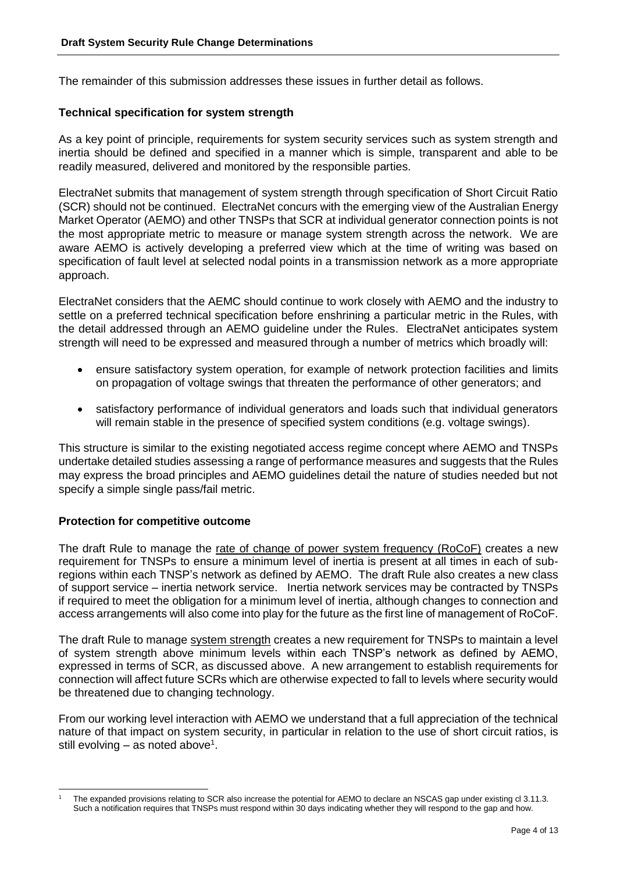The remainder of this submission addresses these issues in further detail as follows.

## **Technical specification for system strength**

As a key point of principle, requirements for system security services such as system strength and inertia should be defined and specified in a manner which is simple, transparent and able to be readily measured, delivered and monitored by the responsible parties.

ElectraNet submits that management of system strength through specification of Short Circuit Ratio (SCR) should not be continued. ElectraNet concurs with the emerging view of the Australian Energy Market Operator (AEMO) and other TNSPs that SCR at individual generator connection points is not the most appropriate metric to measure or manage system strength across the network. We are aware AEMO is actively developing a preferred view which at the time of writing was based on specification of fault level at selected nodal points in a transmission network as a more appropriate approach.

ElectraNet considers that the AEMC should continue to work closely with AEMO and the industry to settle on a preferred technical specification before enshrining a particular metric in the Rules, with the detail addressed through an AEMO guideline under the Rules. ElectraNet anticipates system strength will need to be expressed and measured through a number of metrics which broadly will:

- ensure satisfactory system operation, for example of network protection facilities and limits on propagation of voltage swings that threaten the performance of other generators; and
- satisfactory performance of individual generators and loads such that individual generators will remain stable in the presence of specified system conditions (e.g. voltage swings).

This structure is similar to the existing negotiated access regime concept where AEMO and TNSPs undertake detailed studies assessing a range of performance measures and suggests that the Rules may express the broad principles and AEMO guidelines detail the nature of studies needed but not specify a simple single pass/fail metric.

#### **Protection for competitive outcome**

The draft Rule to manage the rate of change of power system frequency (RoCoF) creates a new requirement for TNSPs to ensure a minimum level of inertia is present at all times in each of subregions within each TNSP's network as defined by AEMO. The draft Rule also creates a new class of support service – inertia network service. Inertia network services may be contracted by TNSPs if required to meet the obligation for a minimum level of inertia, although changes to connection and access arrangements will also come into play for the future as the first line of management of RoCoF.

The draft Rule to manage system strength creates a new requirement for TNSPs to maintain a level of system strength above minimum levels within each TNSP's network as defined by AEMO, expressed in terms of SCR, as discussed above. A new arrangement to establish requirements for connection will affect future SCRs which are otherwise expected to fall to levels where security would be threatened due to changing technology.

From our working level interaction with AEMO we understand that a full appreciation of the technical nature of that impact on system security, in particular in relation to the use of short circuit ratios, is still evolving  $-$  as noted above<sup>1</sup>.

<sup>-</sup>The expanded provisions relating to SCR also increase the potential for AEMO to declare an NSCAS gap under existing cl 3.11.3. Such a notification requires that TNSPs must respond within 30 days indicating whether they will respond to the gap and how.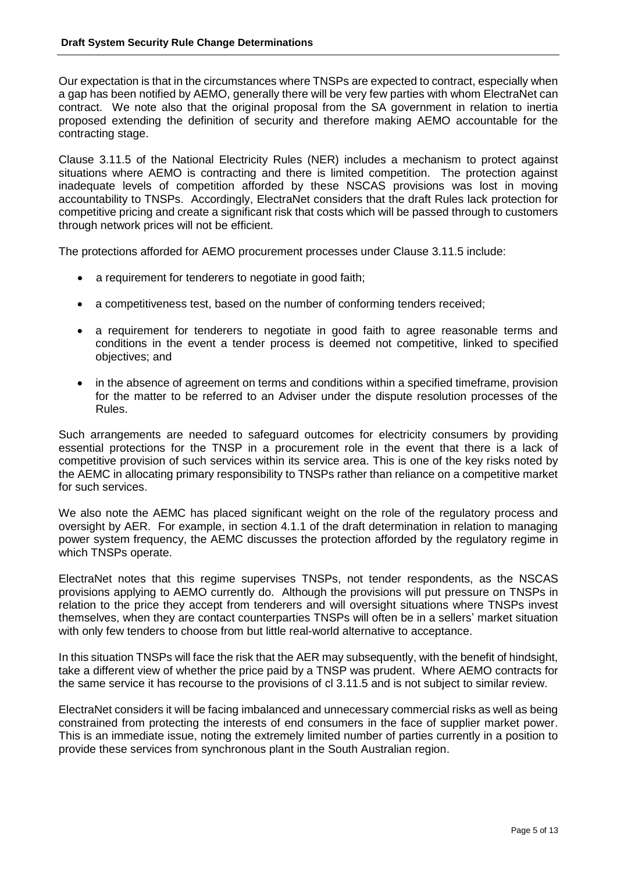Our expectation is that in the circumstances where TNSPs are expected to contract, especially when a gap has been notified by AEMO, generally there will be very few parties with whom ElectraNet can contract. We note also that the original proposal from the SA government in relation to inertia proposed extending the definition of security and therefore making AEMO accountable for the contracting stage.

Clause 3.11.5 of the National Electricity Rules (NER) includes a mechanism to protect against situations where AEMO is contracting and there is limited competition. The protection against inadequate levels of competition afforded by these NSCAS provisions was lost in moving accountability to TNSPs. Accordingly, ElectraNet considers that the draft Rules lack protection for competitive pricing and create a significant risk that costs which will be passed through to customers through network prices will not be efficient.

The protections afforded for AEMO procurement processes under Clause 3.11.5 include:

- a requirement for tenderers to negotiate in good faith;
- a competitiveness test, based on the number of conforming tenders received;
- a requirement for tenderers to negotiate in good faith to agree reasonable terms and conditions in the event a tender process is deemed not competitive, linked to specified objectives; and
- in the absence of agreement on terms and conditions within a specified timeframe, provision for the matter to be referred to an Adviser under the dispute resolution processes of the Rules.

Such arrangements are needed to safeguard outcomes for electricity consumers by providing essential protections for the TNSP in a procurement role in the event that there is a lack of competitive provision of such services within its service area. This is one of the key risks noted by the AEMC in allocating primary responsibility to TNSPs rather than reliance on a competitive market for such services.

We also note the AEMC has placed significant weight on the role of the regulatory process and oversight by AER. For example, in section 4.1.1 of the draft determination in relation to managing power system frequency, the AEMC discusses the protection afforded by the regulatory regime in which TNSPs operate.

ElectraNet notes that this regime supervises TNSPs, not tender respondents, as the NSCAS provisions applying to AEMO currently do. Although the provisions will put pressure on TNSPs in relation to the price they accept from tenderers and will oversight situations where TNSPs invest themselves, when they are contact counterparties TNSPs will often be in a sellers' market situation with only few tenders to choose from but little real-world alternative to acceptance.

In this situation TNSPs will face the risk that the AER may subsequently, with the benefit of hindsight, take a different view of whether the price paid by a TNSP was prudent. Where AEMO contracts for the same service it has recourse to the provisions of cl 3.11.5 and is not subject to similar review.

ElectraNet considers it will be facing imbalanced and unnecessary commercial risks as well as being constrained from protecting the interests of end consumers in the face of supplier market power. This is an immediate issue, noting the extremely limited number of parties currently in a position to provide these services from synchronous plant in the South Australian region.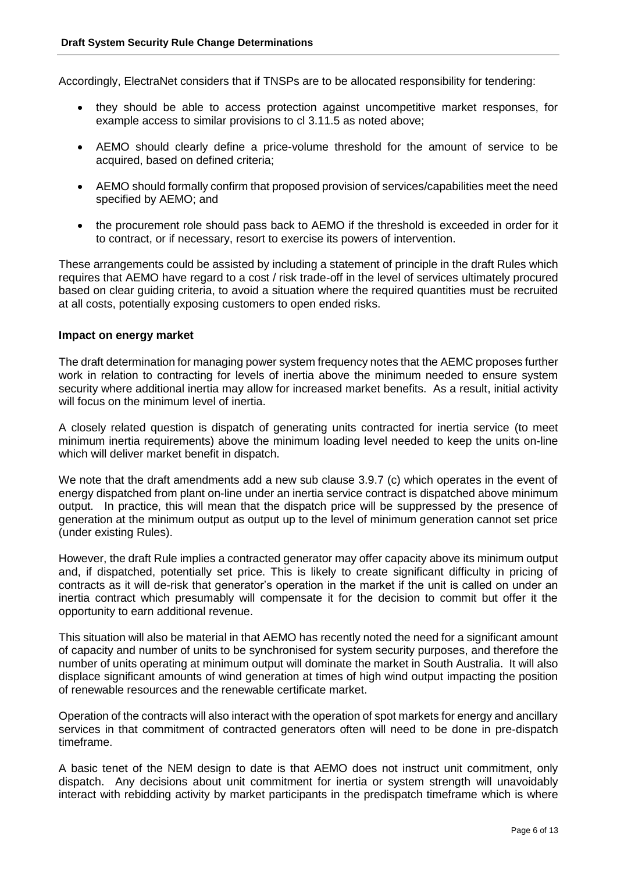Accordingly, ElectraNet considers that if TNSPs are to be allocated responsibility for tendering:

- they should be able to access protection against uncompetitive market responses, for example access to similar provisions to cl 3.11.5 as noted above;
- AEMO should clearly define a price-volume threshold for the amount of service to be acquired, based on defined criteria;
- AEMO should formally confirm that proposed provision of services/capabilities meet the need specified by AEMO; and
- the procurement role should pass back to AEMO if the threshold is exceeded in order for it to contract, or if necessary, resort to exercise its powers of intervention.

These arrangements could be assisted by including a statement of principle in the draft Rules which requires that AEMO have regard to a cost / risk trade-off in the level of services ultimately procured based on clear guiding criteria, to avoid a situation where the required quantities must be recruited at all costs, potentially exposing customers to open ended risks.

#### **Impact on energy market**

The draft determination for managing power system frequency notes that the AEMC proposes further work in relation to contracting for levels of inertia above the minimum needed to ensure system security where additional inertia may allow for increased market benefits. As a result, initial activity will focus on the minimum level of inertia.

A closely related question is dispatch of generating units contracted for inertia service (to meet minimum inertia requirements) above the minimum loading level needed to keep the units on-line which will deliver market benefit in dispatch.

We note that the draft amendments add a new sub clause 3.9.7 (c) which operates in the event of energy dispatched from plant on-line under an inertia service contract is dispatched above minimum output. In practice, this will mean that the dispatch price will be suppressed by the presence of generation at the minimum output as output up to the level of minimum generation cannot set price (under existing Rules).

However, the draft Rule implies a contracted generator may offer capacity above its minimum output and, if dispatched, potentially set price. This is likely to create significant difficulty in pricing of contracts as it will de-risk that generator's operation in the market if the unit is called on under an inertia contract which presumably will compensate it for the decision to commit but offer it the opportunity to earn additional revenue.

This situation will also be material in that AEMO has recently noted the need for a significant amount of capacity and number of units to be synchronised for system security purposes, and therefore the number of units operating at minimum output will dominate the market in South Australia. It will also displace significant amounts of wind generation at times of high wind output impacting the position of renewable resources and the renewable certificate market.

Operation of the contracts will also interact with the operation of spot markets for energy and ancillary services in that commitment of contracted generators often will need to be done in pre-dispatch timeframe.

A basic tenet of the NEM design to date is that AEMO does not instruct unit commitment, only dispatch. Any decisions about unit commitment for inertia or system strength will unavoidably interact with rebidding activity by market participants in the predispatch timeframe which is where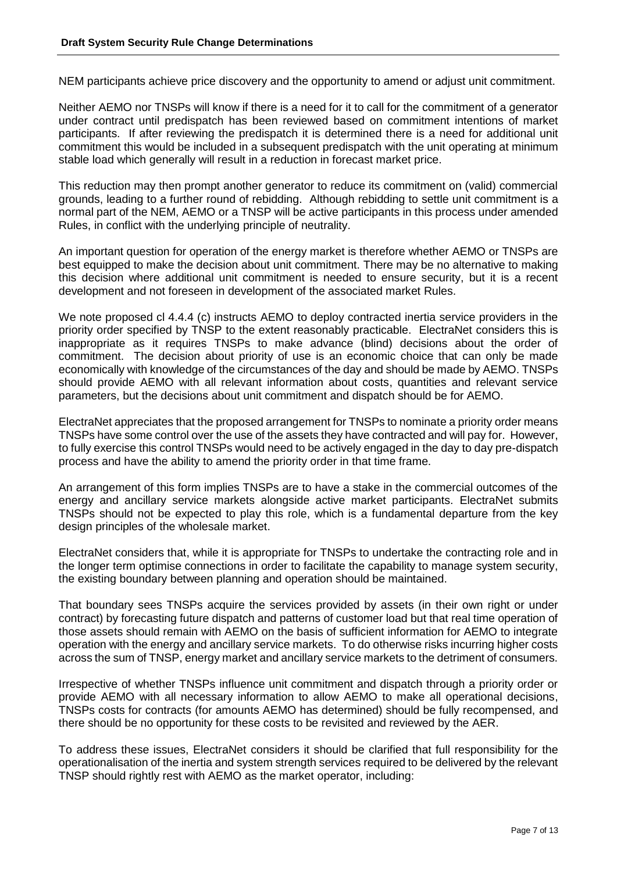NEM participants achieve price discovery and the opportunity to amend or adjust unit commitment.

Neither AEMO nor TNSPs will know if there is a need for it to call for the commitment of a generator under contract until predispatch has been reviewed based on commitment intentions of market participants. If after reviewing the predispatch it is determined there is a need for additional unit commitment this would be included in a subsequent predispatch with the unit operating at minimum stable load which generally will result in a reduction in forecast market price.

This reduction may then prompt another generator to reduce its commitment on (valid) commercial grounds, leading to a further round of rebidding. Although rebidding to settle unit commitment is a normal part of the NEM, AEMO or a TNSP will be active participants in this process under amended Rules, in conflict with the underlying principle of neutrality.

An important question for operation of the energy market is therefore whether AEMO or TNSPs are best equipped to make the decision about unit commitment. There may be no alternative to making this decision where additional unit commitment is needed to ensure security, but it is a recent development and not foreseen in development of the associated market Rules.

We note proposed cl 4.4.4 (c) instructs AEMO to deploy contracted inertia service providers in the priority order specified by TNSP to the extent reasonably practicable. ElectraNet considers this is inappropriate as it requires TNSPs to make advance (blind) decisions about the order of commitment. The decision about priority of use is an economic choice that can only be made economically with knowledge of the circumstances of the day and should be made by AEMO. TNSPs should provide AEMO with all relevant information about costs, quantities and relevant service parameters, but the decisions about unit commitment and dispatch should be for AEMO.

ElectraNet appreciates that the proposed arrangement for TNSPs to nominate a priority order means TNSPs have some control over the use of the assets they have contracted and will pay for. However, to fully exercise this control TNSPs would need to be actively engaged in the day to day pre-dispatch process and have the ability to amend the priority order in that time frame.

An arrangement of this form implies TNSPs are to have a stake in the commercial outcomes of the energy and ancillary service markets alongside active market participants. ElectraNet submits TNSPs should not be expected to play this role, which is a fundamental departure from the key design principles of the wholesale market.

ElectraNet considers that, while it is appropriate for TNSPs to undertake the contracting role and in the longer term optimise connections in order to facilitate the capability to manage system security, the existing boundary between planning and operation should be maintained.

That boundary sees TNSPs acquire the services provided by assets (in their own right or under contract) by forecasting future dispatch and patterns of customer load but that real time operation of those assets should remain with AEMO on the basis of sufficient information for AEMO to integrate operation with the energy and ancillary service markets. To do otherwise risks incurring higher costs across the sum of TNSP, energy market and ancillary service markets to the detriment of consumers.

Irrespective of whether TNSPs influence unit commitment and dispatch through a priority order or provide AEMO with all necessary information to allow AEMO to make all operational decisions, TNSPs costs for contracts (for amounts AEMO has determined) should be fully recompensed, and there should be no opportunity for these costs to be revisited and reviewed by the AER.

To address these issues, ElectraNet considers it should be clarified that full responsibility for the operationalisation of the inertia and system strength services required to be delivered by the relevant TNSP should rightly rest with AEMO as the market operator, including: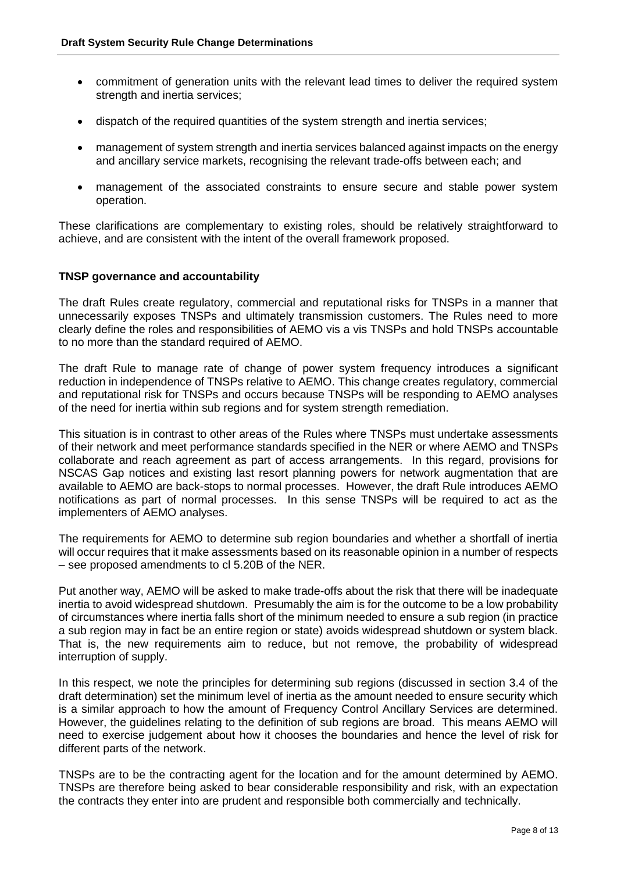- commitment of generation units with the relevant lead times to deliver the required system strength and inertia services;
- dispatch of the required quantities of the system strength and inertia services;
- management of system strength and inertia services balanced against impacts on the energy and ancillary service markets, recognising the relevant trade-offs between each; and
- management of the associated constraints to ensure secure and stable power system operation.

These clarifications are complementary to existing roles, should be relatively straightforward to achieve, and are consistent with the intent of the overall framework proposed.

# **TNSP governance and accountability**

The draft Rules create regulatory, commercial and reputational risks for TNSPs in a manner that unnecessarily exposes TNSPs and ultimately transmission customers. The Rules need to more clearly define the roles and responsibilities of AEMO vis a vis TNSPs and hold TNSPs accountable to no more than the standard required of AEMO.

The draft Rule to manage rate of change of power system frequency introduces a significant reduction in independence of TNSPs relative to AEMO. This change creates regulatory, commercial and reputational risk for TNSPs and occurs because TNSPs will be responding to AEMO analyses of the need for inertia within sub regions and for system strength remediation.

This situation is in contrast to other areas of the Rules where TNSPs must undertake assessments of their network and meet performance standards specified in the NER or where AEMO and TNSPs collaborate and reach agreement as part of access arrangements. In this regard, provisions for NSCAS Gap notices and existing last resort planning powers for network augmentation that are available to AEMO are back-stops to normal processes. However, the draft Rule introduces AEMO notifications as part of normal processes. In this sense TNSPs will be required to act as the implementers of AEMO analyses.

The requirements for AEMO to determine sub region boundaries and whether a shortfall of inertia will occur requires that it make assessments based on its reasonable opinion in a number of respects – see proposed amendments to cl 5.20B of the NER.

Put another way, AEMO will be asked to make trade-offs about the risk that there will be inadequate inertia to avoid widespread shutdown. Presumably the aim is for the outcome to be a low probability of circumstances where inertia falls short of the minimum needed to ensure a sub region (in practice a sub region may in fact be an entire region or state) avoids widespread shutdown or system black. That is, the new requirements aim to reduce, but not remove, the probability of widespread interruption of supply.

In this respect, we note the principles for determining sub regions (discussed in section 3.4 of the draft determination) set the minimum level of inertia as the amount needed to ensure security which is a similar approach to how the amount of Frequency Control Ancillary Services are determined. However, the guidelines relating to the definition of sub regions are broad. This means AEMO will need to exercise judgement about how it chooses the boundaries and hence the level of risk for different parts of the network.

TNSPs are to be the contracting agent for the location and for the amount determined by AEMO. TNSPs are therefore being asked to bear considerable responsibility and risk, with an expectation the contracts they enter into are prudent and responsible both commercially and technically.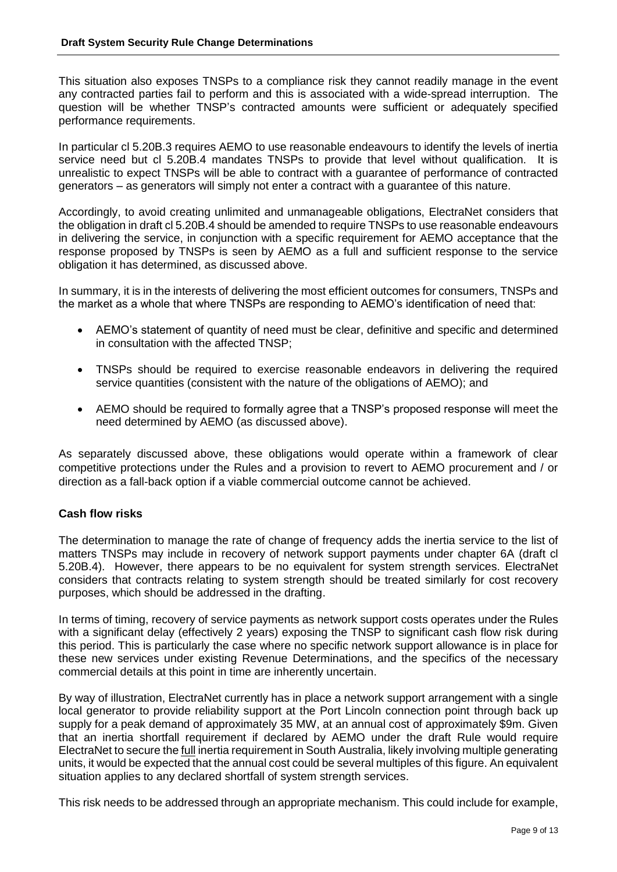This situation also exposes TNSPs to a compliance risk they cannot readily manage in the event any contracted parties fail to perform and this is associated with a wide-spread interruption. The question will be whether TNSP's contracted amounts were sufficient or adequately specified performance requirements.

In particular cl 5.20B.3 requires AEMO to use reasonable endeavours to identify the levels of inertia service need but cl 5.20B.4 mandates TNSPs to provide that level without qualification. It is unrealistic to expect TNSPs will be able to contract with a guarantee of performance of contracted generators – as generators will simply not enter a contract with a guarantee of this nature.

Accordingly, to avoid creating unlimited and unmanageable obligations, ElectraNet considers that the obligation in draft cl 5.20B.4 should be amended to require TNSPs to use reasonable endeavours in delivering the service, in conjunction with a specific requirement for AEMO acceptance that the response proposed by TNSPs is seen by AEMO as a full and sufficient response to the service obligation it has determined, as discussed above.

In summary, it is in the interests of delivering the most efficient outcomes for consumers, TNSPs and the market as a whole that where TNSPs are responding to AEMO's identification of need that:

- AEMO's statement of quantity of need must be clear, definitive and specific and determined in consultation with the affected TNSP;
- TNSPs should be required to exercise reasonable endeavors in delivering the required service quantities (consistent with the nature of the obligations of AEMO); and
- AEMO should be required to formally agree that a TNSP's proposed response will meet the need determined by AEMO (as discussed above).

As separately discussed above, these obligations would operate within a framework of clear competitive protections under the Rules and a provision to revert to AEMO procurement and / or direction as a fall-back option if a viable commercial outcome cannot be achieved.

#### **Cash flow risks**

The determination to manage the rate of change of frequency adds the inertia service to the list of matters TNSPs may include in recovery of network support payments under chapter 6A (draft cl 5.20B.4). However, there appears to be no equivalent for system strength services. ElectraNet considers that contracts relating to system strength should be treated similarly for cost recovery purposes, which should be addressed in the drafting.

In terms of timing, recovery of service payments as network support costs operates under the Rules with a significant delay (effectively 2 years) exposing the TNSP to significant cash flow risk during this period. This is particularly the case where no specific network support allowance is in place for these new services under existing Revenue Determinations, and the specifics of the necessary commercial details at this point in time are inherently uncertain.

By way of illustration, ElectraNet currently has in place a network support arrangement with a single local generator to provide reliability support at the Port Lincoln connection point through back up supply for a peak demand of approximately 35 MW, at an annual cost of approximately \$9m. Given that an inertia shortfall requirement if declared by AEMO under the draft Rule would require ElectraNet to secure the full inertia requirement in South Australia, likely involving multiple generating units, it would be expected that the annual cost could be several multiples of this figure. An equivalent situation applies to any declared shortfall of system strength services.

This risk needs to be addressed through an appropriate mechanism. This could include for example,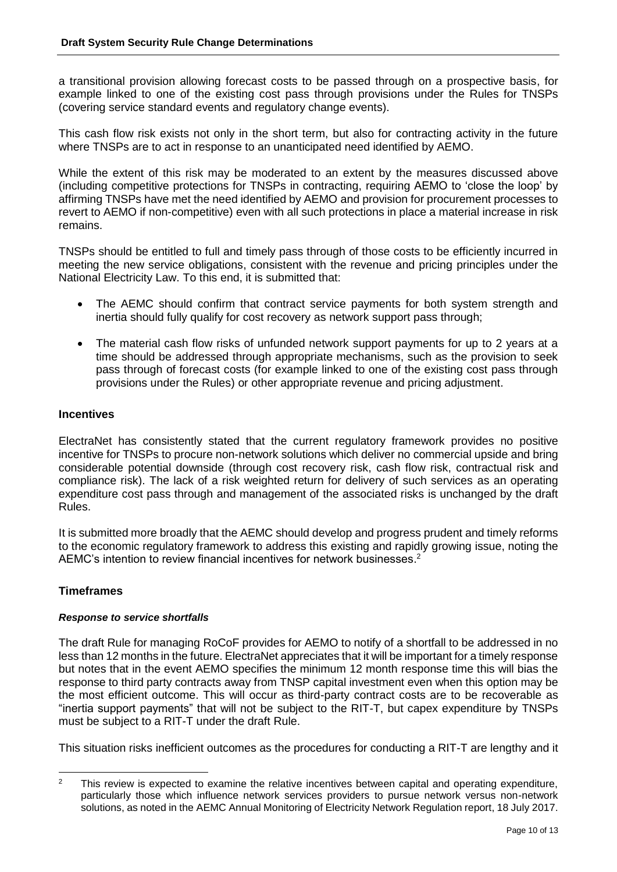a transitional provision allowing forecast costs to be passed through on a prospective basis, for example linked to one of the existing cost pass through provisions under the Rules for TNSPs (covering service standard events and regulatory change events).

This cash flow risk exists not only in the short term, but also for contracting activity in the future where TNSPs are to act in response to an unanticipated need identified by AEMO.

While the extent of this risk may be moderated to an extent by the measures discussed above (including competitive protections for TNSPs in contracting, requiring AEMO to 'close the loop' by affirming TNSPs have met the need identified by AEMO and provision for procurement processes to revert to AEMO if non-competitive) even with all such protections in place a material increase in risk remains.

TNSPs should be entitled to full and timely pass through of those costs to be efficiently incurred in meeting the new service obligations, consistent with the revenue and pricing principles under the National Electricity Law. To this end, it is submitted that:

- The AEMC should confirm that contract service payments for both system strength and inertia should fully qualify for cost recovery as network support pass through;
- The material cash flow risks of unfunded network support payments for up to 2 years at a time should be addressed through appropriate mechanisms, such as the provision to seek pass through of forecast costs (for example linked to one of the existing cost pass through provisions under the Rules) or other appropriate revenue and pricing adjustment.

# **Incentives**

ElectraNet has consistently stated that the current regulatory framework provides no positive incentive for TNSPs to procure non-network solutions which deliver no commercial upside and bring considerable potential downside (through cost recovery risk, cash flow risk, contractual risk and compliance risk). The lack of a risk weighted return for delivery of such services as an operating expenditure cost pass through and management of the associated risks is unchanged by the draft Rules.

It is submitted more broadly that the AEMC should develop and progress prudent and timely reforms to the economic regulatory framework to address this existing and rapidly growing issue, noting the AEMC's intention to review financial incentives for network businesses. 2

# **Timeframes**

#### *Response to service shortfalls*

The draft Rule for managing RoCoF provides for AEMO to notify of a shortfall to be addressed in no less than 12 months in the future. ElectraNet appreciates that it will be important for a timely response but notes that in the event AEMO specifies the minimum 12 month response time this will bias the response to third party contracts away from TNSP capital investment even when this option may be the most efficient outcome. This will occur as third-party contract costs are to be recoverable as "inertia support payments" that will not be subject to the RIT-T, but capex expenditure by TNSPs must be subject to a RIT-T under the draft Rule.

This situation risks inefficient outcomes as the procedures for conducting a RIT-T are lengthy and it

<sup>-</sup><sup>2</sup> This review is expected to examine the relative incentives between capital and operating expenditure, particularly those which influence network services providers to pursue network versus non-network solutions, as noted in the AEMC Annual Monitoring of Electricity Network Regulation report, 18 July 2017.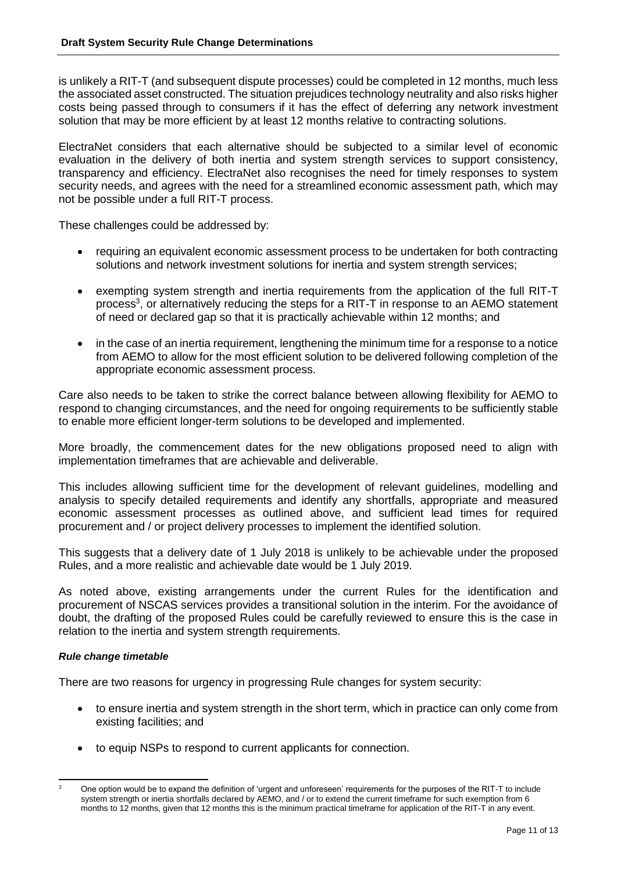is unlikely a RIT-T (and subsequent dispute processes) could be completed in 12 months, much less the associated asset constructed. The situation prejudices technology neutrality and also risks higher costs being passed through to consumers if it has the effect of deferring any network investment solution that may be more efficient by at least 12 months relative to contracting solutions.

ElectraNet considers that each alternative should be subjected to a similar level of economic evaluation in the delivery of both inertia and system strength services to support consistency, transparency and efficiency. ElectraNet also recognises the need for timely responses to system security needs, and agrees with the need for a streamlined economic assessment path, which may not be possible under a full RIT-T process.

These challenges could be addressed by:

- requiring an equivalent economic assessment process to be undertaken for both contracting solutions and network investment solutions for inertia and system strength services;
- exempting system strength and inertia requirements from the application of the full RIT-T process<sup>3</sup>, or alternatively reducing the steps for a RIT-T in response to an AEMO statement of need or declared gap so that it is practically achievable within 12 months; and
- in the case of an inertia requirement, lengthening the minimum time for a response to a notice from AEMO to allow for the most efficient solution to be delivered following completion of the appropriate economic assessment process.

Care also needs to be taken to strike the correct balance between allowing flexibility for AEMO to respond to changing circumstances, and the need for ongoing requirements to be sufficiently stable to enable more efficient longer-term solutions to be developed and implemented.

More broadly, the commencement dates for the new obligations proposed need to align with implementation timeframes that are achievable and deliverable.

This includes allowing sufficient time for the development of relevant guidelines, modelling and analysis to specify detailed requirements and identify any shortfalls, appropriate and measured economic assessment processes as outlined above, and sufficient lead times for required procurement and / or project delivery processes to implement the identified solution.

This suggests that a delivery date of 1 July 2018 is unlikely to be achievable under the proposed Rules, and a more realistic and achievable date would be 1 July 2019.

As noted above, existing arrangements under the current Rules for the identification and procurement of NSCAS services provides a transitional solution in the interim. For the avoidance of doubt, the drafting of the proposed Rules could be carefully reviewed to ensure this is the case in relation to the inertia and system strength requirements.

#### *Rule change timetable*

There are two reasons for urgency in progressing Rule changes for system security:

- to ensure inertia and system strength in the short term, which in practice can only come from existing facilities; and
- to equip NSPs to respond to current applicants for connection.

 $\overline{3}$ <sup>3</sup> One option would be to expand the definition of 'urgent and unforeseen' requirements for the purposes of the RIT-T to include system strength or inertia shortfalls declared by AEMO, and / or to extend the current timeframe for such exemption from 6 months to 12 months, given that 12 months this is the minimum practical timeframe for application of the RIT-T in any event.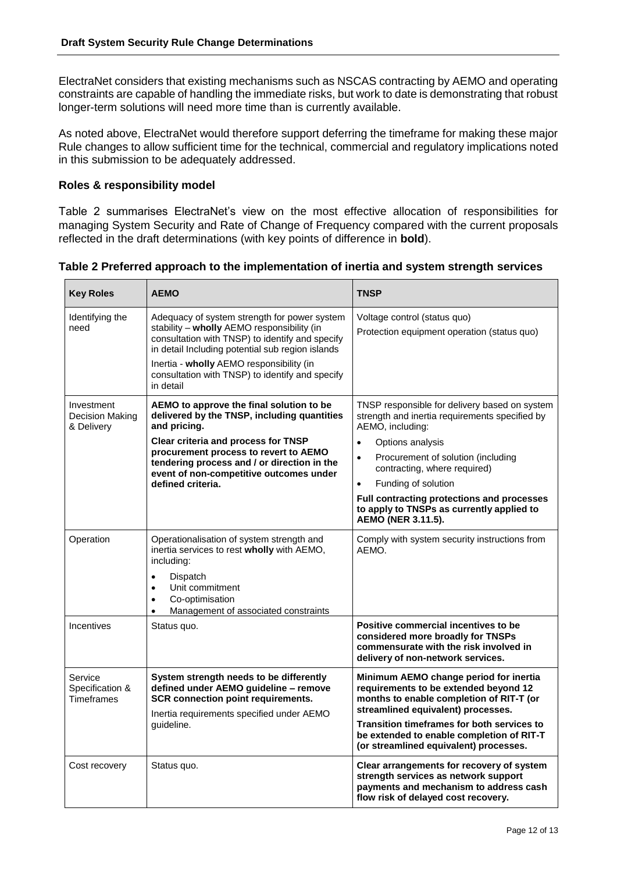ElectraNet considers that existing mechanisms such as NSCAS contracting by AEMO and operating constraints are capable of handling the immediate risks, but work to date is demonstrating that robust longer-term solutions will need more time than is currently available.

As noted above, ElectraNet would therefore support deferring the timeframe for making these major Rule changes to allow sufficient time for the technical, commercial and regulatory implications noted in this submission to be adequately addressed.

## **Roles & responsibility model**

Table 2 summarises ElectraNet's view on the most effective allocation of responsibilities for managing System Security and Rate of Change of Frequency compared with the current proposals reflected in the draft determinations (with key points of difference in **bold**).

**Table 2 Preferred approach to the implementation of inertia and system strength services**

| <b>Key Roles</b>                                | <b>AEMO</b>                                                                                                                                                                                                                                                                                                   | <b>TNSP</b>                                                                                                                                                                                                                                                                                                                                                                                  |
|-------------------------------------------------|---------------------------------------------------------------------------------------------------------------------------------------------------------------------------------------------------------------------------------------------------------------------------------------------------------------|----------------------------------------------------------------------------------------------------------------------------------------------------------------------------------------------------------------------------------------------------------------------------------------------------------------------------------------------------------------------------------------------|
| Identifying the<br>need                         | Adequacy of system strength for power system<br>stability - wholly AEMO responsibility (in<br>consultation with TNSP) to identify and specify<br>in detail Including potential sub region islands<br>Inertia - wholly AEMO responsibility (in<br>consultation with TNSP) to identify and specify<br>in detail | Voltage control (status quo)<br>Protection equipment operation (status quo)                                                                                                                                                                                                                                                                                                                  |
| Investment<br>Decision Making<br>& Delivery     | AEMO to approve the final solution to be<br>delivered by the TNSP, including quantities<br>and pricing.<br>Clear criteria and process for TNSP<br>procurement process to revert to AEMO<br>tendering process and / or direction in the<br>event of non-competitive outcomes under<br>defined criteria.        | TNSP responsible for delivery based on system<br>strength and inertia requirements specified by<br>AEMO, including:<br>Options analysis<br>$\bullet$<br>Procurement of solution (including<br>$\bullet$<br>contracting, where required)<br>Funding of solution<br>$\bullet$<br>Full contracting protections and processes<br>to apply to TNSPs as currently applied to<br>AEMO (NER 3.11.5). |
| Operation                                       | Operationalisation of system strength and<br>inertia services to rest wholly with AEMO,<br>including:<br>Dispatch<br>$\bullet$<br>Unit commitment<br>$\bullet$<br>Co-optimisation<br>$\bullet$<br>Management of associated constraints<br>$\bullet$                                                           | Comply with system security instructions from<br>AFMO.                                                                                                                                                                                                                                                                                                                                       |
| Incentives                                      | Status quo.                                                                                                                                                                                                                                                                                                   | Positive commercial incentives to be<br>considered more broadly for TNSPs<br>commensurate with the risk involved in<br>delivery of non-network services.                                                                                                                                                                                                                                     |
| Service<br>Specification &<br><b>Timeframes</b> | System strength needs to be differently<br>defined under AEMO guideline - remove<br><b>SCR connection point requirements.</b><br>Inertia requirements specified under AEMO<br>guideline.                                                                                                                      | Minimum AEMO change period for inertia<br>requirements to be extended beyond 12<br>months to enable completion of RIT-T (or<br>streamlined equivalent) processes.<br>Transition timeframes for both services to<br>be extended to enable completion of RIT-T<br>(or streamlined equivalent) processes.                                                                                       |
| Cost recovery                                   | Status quo.                                                                                                                                                                                                                                                                                                   | Clear arrangements for recovery of system<br>strength services as network support<br>payments and mechanism to address cash<br>flow risk of delayed cost recovery.                                                                                                                                                                                                                           |